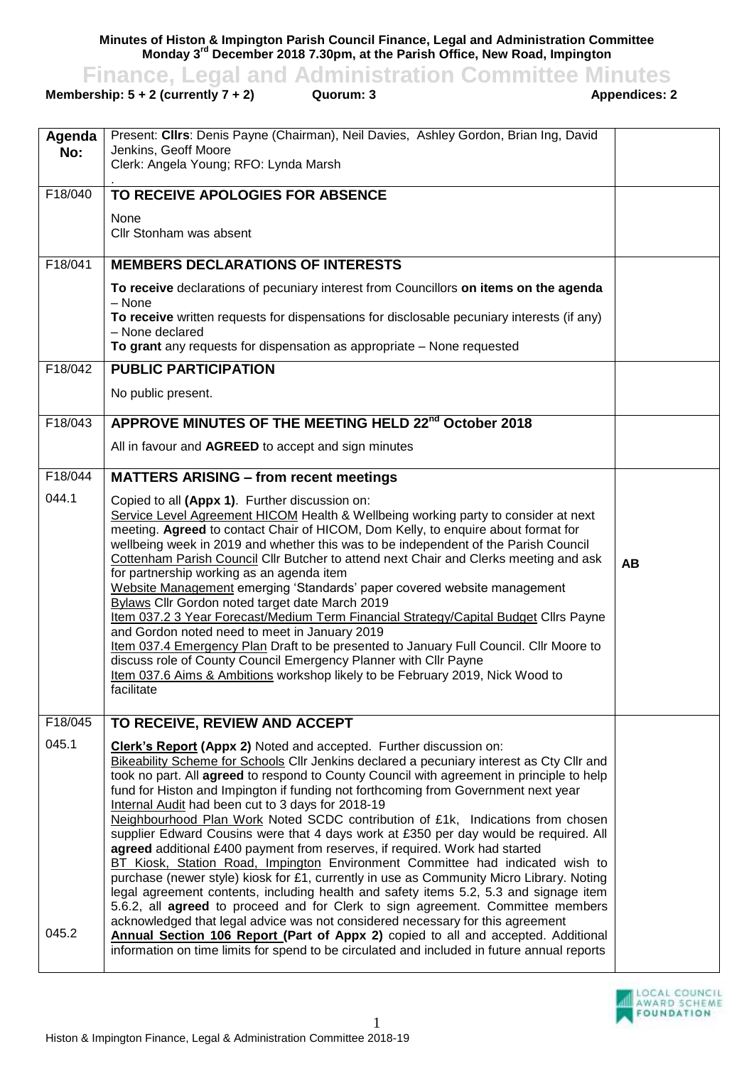**Minutes of Histon & Impington Parish Council Finance, Legal and Administration Committee Monday 3 rd December 2018 7.30pm, at the Parish Office, New Road, Impington**

**Finance, Legal and Administration Committee Minutes**<br>ership: 5 + 2 (currently 7 + 2) Quorum: 3<br>Appendices: 2

**Membership:**  $5 + 2$  **(currently**  $7 + 2$ **)** 

| Agenda  | Present: Clirs: Denis Payne (Chairman), Neil Davies, Ashley Gordon, Brian Ing, David                                                                                            |           |
|---------|---------------------------------------------------------------------------------------------------------------------------------------------------------------------------------|-----------|
| No:     | Jenkins, Geoff Moore                                                                                                                                                            |           |
|         | Clerk: Angela Young; RFO: Lynda Marsh                                                                                                                                           |           |
| F18/040 | TO RECEIVE APOLOGIES FOR ABSENCE                                                                                                                                                |           |
|         | None                                                                                                                                                                            |           |
|         | Cllr Stonham was absent                                                                                                                                                         |           |
|         |                                                                                                                                                                                 |           |
| F18/041 | <b>MEMBERS DECLARATIONS OF INTERESTS</b>                                                                                                                                        |           |
|         | To receive declarations of pecuniary interest from Councillors on items on the agenda<br>- None                                                                                 |           |
|         | To receive written requests for dispensations for disclosable pecuniary interests (if any)                                                                                      |           |
|         | - None declared                                                                                                                                                                 |           |
|         | To grant any requests for dispensation as appropriate - None requested                                                                                                          |           |
| F18/042 | <b>PUBLIC PARTICIPATION</b>                                                                                                                                                     |           |
|         | No public present.                                                                                                                                                              |           |
| F18/043 | APPROVE MINUTES OF THE MEETING HELD 22 <sup>nd</sup> October 2018                                                                                                               |           |
|         |                                                                                                                                                                                 |           |
|         | All in favour and AGREED to accept and sign minutes                                                                                                                             |           |
| F18/044 | <b>MATTERS ARISING - from recent meetings</b>                                                                                                                                   |           |
| 044.1   | Copied to all (Appx 1). Further discussion on:                                                                                                                                  |           |
|         | Service Level Agreement HICOM Health & Wellbeing working party to consider at next                                                                                              |           |
|         | meeting. Agreed to contact Chair of HICOM, Dom Kelly, to enquire about format for<br>wellbeing week in 2019 and whether this was to be independent of the Parish Council        |           |
|         | Cottenham Parish Council Cllr Butcher to attend next Chair and Clerks meeting and ask                                                                                           |           |
|         | for partnership working as an agenda item                                                                                                                                       | <b>AB</b> |
|         | Website Management emerging 'Standards' paper covered website management                                                                                                        |           |
|         | Bylaws Cllr Gordon noted target date March 2019<br>Item 037.2 3 Year Forecast/Medium Term Financial Strategy/Capital Budget Cllrs Payne                                         |           |
|         | and Gordon noted need to meet in January 2019                                                                                                                                   |           |
|         | Item 037.4 Emergency Plan Draft to be presented to January Full Council. Cllr Moore to                                                                                          |           |
|         | discuss role of County Council Emergency Planner with Cllr Payne                                                                                                                |           |
|         | Item 037.6 Aims & Ambitions workshop likely to be February 2019, Nick Wood to<br>facilitate                                                                                     |           |
|         |                                                                                                                                                                                 |           |
| F18/045 | TO RECEIVE, REVIEW AND ACCEPT                                                                                                                                                   |           |
| 045.1   | Clerk's Report (Appx 2) Noted and accepted. Further discussion on:                                                                                                              |           |
|         | Bikeability Scheme for Schools Cllr Jenkins declared a pecuniary interest as Cty Cllr and                                                                                       |           |
|         | took no part. All agreed to respond to County Council with agreement in principle to help<br>fund for Histon and Impington if funding not forthcoming from Government next year |           |
|         | Internal Audit had been cut to 3 days for 2018-19                                                                                                                               |           |
|         | Neighbourhood Plan Work Noted SCDC contribution of £1k, Indications from chosen                                                                                                 |           |
|         | supplier Edward Cousins were that 4 days work at £350 per day would be required. All<br>agreed additional £400 payment from reserves, if required. Work had started             |           |
|         | BT Kiosk, Station Road, Impington Environment Committee had indicated wish to                                                                                                   |           |
|         | purchase (newer style) kiosk for £1, currently in use as Community Micro Library. Noting                                                                                        |           |
|         | legal agreement contents, including health and safety items 5.2, 5.3 and signage item                                                                                           |           |
|         | 5.6.2, all agreed to proceed and for Clerk to sign agreement. Committee members<br>acknowledged that legal advice was not considered necessary for this agreement               |           |
| 045.2   | <b>Annual Section 106 Report (Part of Appx 2)</b> copied to all and accepted. Additional                                                                                        |           |
|         | information on time limits for spend to be circulated and included in future annual reports                                                                                     |           |
|         |                                                                                                                                                                                 |           |

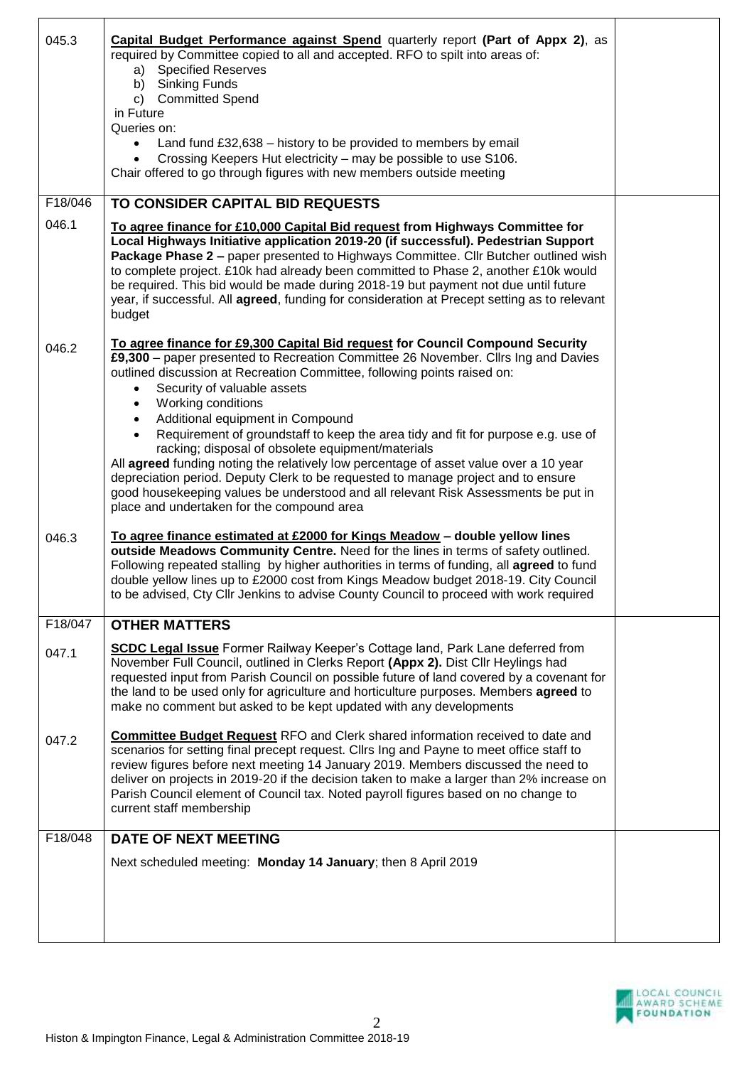| 045.3   | <b>Capital Budget Performance against Spend</b> quarterly report (Part of Appx 2), as<br>required by Committee copied to all and accepted. RFO to spilt into areas of:<br>a) Specified Reserves<br>b) Sinking Funds<br>c) Committed Spend<br>in Future<br>Queries on:<br>Land fund £32,638 - history to be provided to members by email<br>$\bullet$<br>Crossing Keepers Hut electricity – may be possible to use S106.<br>Chair offered to go through figures with new members outside meeting                                                                                                                                                                                                                                                                                                                  |  |
|---------|------------------------------------------------------------------------------------------------------------------------------------------------------------------------------------------------------------------------------------------------------------------------------------------------------------------------------------------------------------------------------------------------------------------------------------------------------------------------------------------------------------------------------------------------------------------------------------------------------------------------------------------------------------------------------------------------------------------------------------------------------------------------------------------------------------------|--|
| F18/046 | TO CONSIDER CAPITAL BID REQUESTS                                                                                                                                                                                                                                                                                                                                                                                                                                                                                                                                                                                                                                                                                                                                                                                 |  |
| 046.1   | To agree finance for £10,000 Capital Bid request from Highways Committee for<br>Local Highways Initiative application 2019-20 (if successful). Pedestrian Support<br>Package Phase 2 - paper presented to Highways Committee. Cllr Butcher outlined wish<br>to complete project. £10k had already been committed to Phase 2, another £10k would<br>be required. This bid would be made during 2018-19 but payment not due until future<br>year, if successful. All agreed, funding for consideration at Precept setting as to relevant<br>budget                                                                                                                                                                                                                                                                 |  |
| 046.2   | To agree finance for £9,300 Capital Bid request for Council Compound Security<br>£9,300 - paper presented to Recreation Committee 26 November. Cllrs Ing and Davies<br>outlined discussion at Recreation Committee, following points raised on:<br>Security of valuable assets<br>Working conditions<br>Additional equipment in Compound<br>Requirement of groundstaff to keep the area tidy and fit for purpose e.g. use of<br>$\bullet$<br>racking; disposal of obsolete equipment/materials<br>All agreed funding noting the relatively low percentage of asset value over a 10 year<br>depreciation period. Deputy Clerk to be requested to manage project and to ensure<br>good housekeeping values be understood and all relevant Risk Assessments be put in<br>place and undertaken for the compound area |  |
| 046.3   | To agree finance estimated at £2000 for Kings Meadow - double yellow lines<br>outside Meadows Community Centre. Need for the lines in terms of safety outlined.<br>Following repeated stalling by higher authorities in terms of funding, all agreed to fund<br>double yellow lines up to £2000 cost from Kings Meadow budget 2018-19. City Council<br>to be advised, Cty Cllr Jenkins to advise County Council to proceed with work required                                                                                                                                                                                                                                                                                                                                                                    |  |
| F18/047 | <b>OTHER MATTERS</b>                                                                                                                                                                                                                                                                                                                                                                                                                                                                                                                                                                                                                                                                                                                                                                                             |  |
| 047.1   | <b>SCDC Legal Issue</b> Former Railway Keeper's Cottage land, Park Lane deferred from<br>November Full Council, outlined in Clerks Report (Appx 2). Dist Cllr Heylings had<br>requested input from Parish Council on possible future of land covered by a covenant for<br>the land to be used only for agriculture and horticulture purposes. Members agreed to<br>make no comment but asked to be kept updated with any developments                                                                                                                                                                                                                                                                                                                                                                            |  |
| 047.2   | <b>Committee Budget Request RFO and Clerk shared information received to date and</b><br>scenarios for setting final precept request. Cllrs Ing and Payne to meet office staff to<br>review figures before next meeting 14 January 2019. Members discussed the need to<br>deliver on projects in 2019-20 if the decision taken to make a larger than 2% increase on<br>Parish Council element of Council tax. Noted payroll figures based on no change to<br>current staff membership                                                                                                                                                                                                                                                                                                                            |  |
| F18/048 | <b>DATE OF NEXT MEETING</b>                                                                                                                                                                                                                                                                                                                                                                                                                                                                                                                                                                                                                                                                                                                                                                                      |  |
|         | Next scheduled meeting: Monday 14 January; then 8 April 2019                                                                                                                                                                                                                                                                                                                                                                                                                                                                                                                                                                                                                                                                                                                                                     |  |



 $\mathbf{r}$